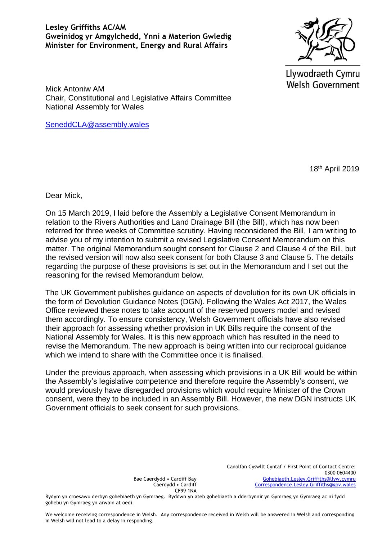## **Lesley Griffiths AC/AM Gweinidog yr Amgylchedd, Ynni a Materion Gwledig Minister for Environment, Energy and Rural Affairs**



Llywodraeth Cymru **Welsh Government** 

Mick Antoniw AM Chair, Constitutional and Legislative Affairs Committee National Assembly for Wales

[SeneddCLA@assembly.wales](mailto:SeneddCLA@assembly.wales)

18th April 2019

Dear Mick,

On 15 March 2019, I laid before the Assembly a Legislative Consent Memorandum in relation to the Rivers Authorities and Land Drainage Bill (the Bill), which has now been referred for three weeks of Committee scrutiny. Having reconsidered the Bill, I am writing to advise you of my intention to submit a revised Legislative Consent Memorandum on this matter. The original Memorandum sought consent for Clause 2 and Clause 4 of the Bill, but the revised version will now also seek consent for both Clause 3 and Clause 5. The details regarding the purpose of these provisions is set out in the Memorandum and I set out the reasoning for the revised Memorandum below.

The UK Government publishes guidance on aspects of devolution for its own UK officials in the form of Devolution Guidance Notes (DGN). Following the Wales Act 2017, the Wales Office reviewed these notes to take account of the reserved powers model and revised them accordingly. To ensure consistency, Welsh Government officials have also revised their approach for assessing whether provision in UK Bills require the consent of the National Assembly for Wales. It is this new approach which has resulted in the need to revise the Memorandum. The new approach is being written into our reciprocal guidance which we intend to share with the Committee once it is finalised.

Under the previous approach, when assessing which provisions in a UK Bill would be within the Assembly's legislative competence and therefore require the Assembly's consent, we would previously have disregarded provisions which would require Minister of the Crown consent, were they to be included in an Assembly Bill. However, the new DGN instructs UK Government officials to seek consent for such provisions.

> Canolfan Cyswllt Cyntaf / First Point of Contact Centre: 0300 0604400 [Gohebiaeth.Lesley.Griffiths@llyw.cymru](mailto:Gohebiaeth.Lesley.Griffiths@llyw.cymru) [Correspondence.Lesley.Griffiths@gov.wales](mailto:Correspondence.Lesley.Griffiths@gov.wales)

Bae Caerdydd • Cardiff Bay Caerdydd • Cardiff CF99 1NA

Rydym yn croesawu derbyn gohebiaeth yn Gymraeg. Byddwn yn ateb gohebiaeth a dderbynnir yn Gymraeg yn Gymraeg ac ni fydd gohebu yn Gymraeg yn arwain at oedi.

We welcome receiving correspondence in Welsh. Any correspondence received in Welsh will be answered in Welsh and corresponding in Welsh will not lead to a delay in responding.